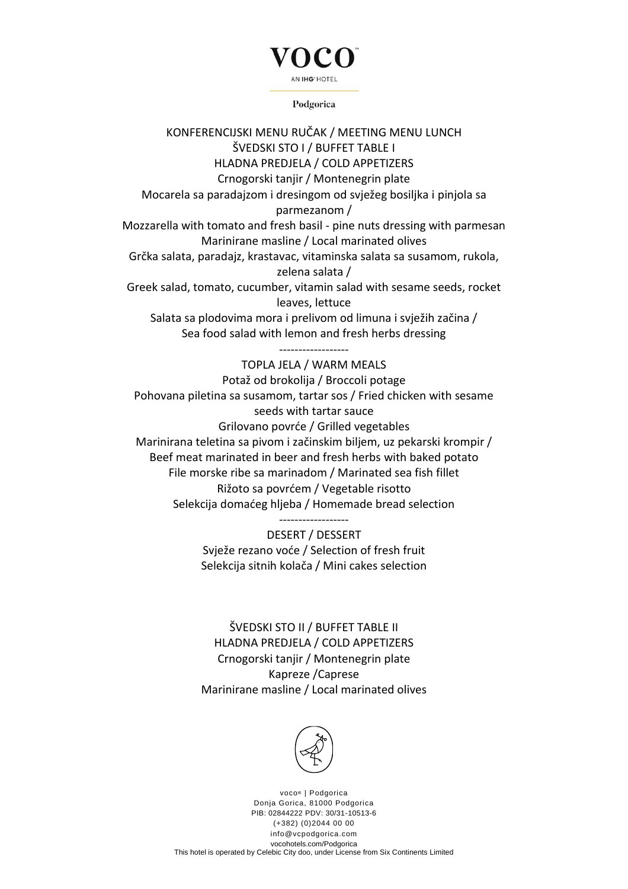### AN IHG' HOTEL

Podgorica

KONFERENCIJSKI MENU RUČAK / MEETING MENU LUNCH ŠVEDSKI STO I / BUFFET TABLE I HLADNA PREDJELA / COLD APPETIZERS Crnogorski tanjir / Montenegrin plate Mocarela sa paradajzom i dresingom od svježeg bosiljka i pinjola sa parmezanom / Mozzarella with tomato and fresh basil - pine nuts dressing with parmesan Marinirane masline / Local marinated olives Grčka salata, paradajz, krastavac, vitaminska salata sa susamom, rukola, zelena salata / Greek salad, tomato, cucumber, vitamin salad with sesame seeds, rocket leaves, lettuce Salata sa plodovima mora i prelivom od limuna i svježih začina / Sea food salad with lemon and fresh herbs dressing ------------------ TOPLA JELA / WARM MEALS Potaž od brokolija / Broccoli potage Pohovana piletina sa susamom, tartar sos / Fried chicken with sesame seeds with tartar sauce Grilovano povrće / Grilled vegetables

Marinirana teletina sa pivom i začinskim biljem, uz pekarski krompir / Beef meat marinated in beer and fresh herbs with baked potato File morske ribe sa marinadom / Marinated sea fish fillet Rižoto sa povrćem / Vegetable risotto Selekcija domaćeg hljeba / Homemade bread selection

------------------

DESERT / DESSERT Svježe rezano voće / Selection of fresh fruit Selekcija sitnih kolača / Mini cakes selection

ŠVEDSKI STO II / BUFFET TABLE II HLADNA PREDJELA / COLD APPETIZERS Crnogorski tanjir / Montenegrin plate Kapreze /Caprese Marinirane masline / Local marinated olives



voco<sup>®</sup> | Podgorica Donja Gorica, 81000 Podgorica PIB: 02844222 PDV: 30/31-10513-6 (+382) (0)2044 00 00 info@vcpodgorica.com vocohotels.com/Podgorica This hotel is operated by Celebic City doo, under License from Six Continents Limited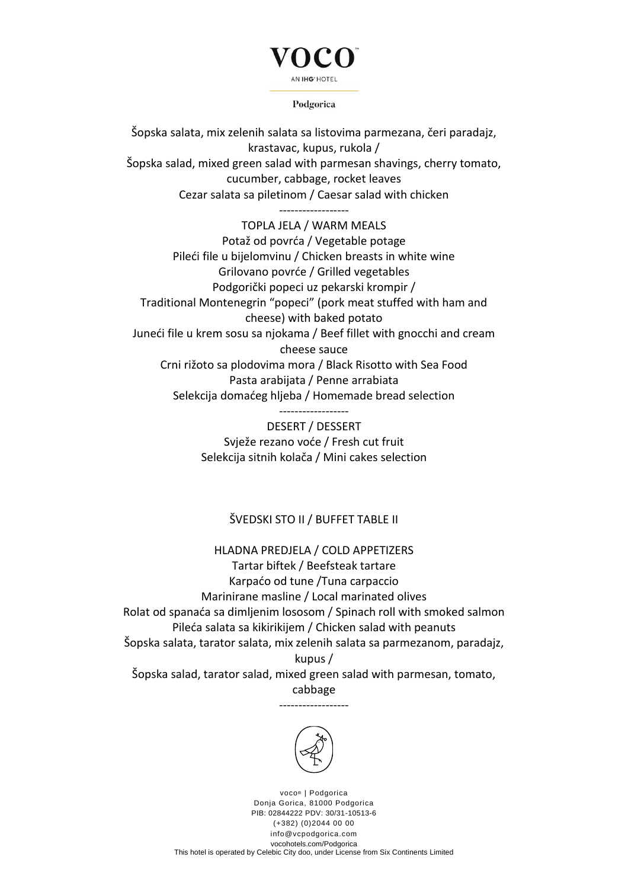## AN IHG' HOTEL

Podgorica

Šopska salata, mix zelenih salata sa listovima parmezana, čeri paradajz, krastavac, kupus, rukola / Šopska salad, mixed green salad with parmesan shavings, cherry tomato, cucumber, cabbage, rocket leaves Cezar salata sa piletinom / Caesar salad with chicken

------------------

TOPLA JELA / WARM MEALS Potaž od povrća / Vegetable potage Pileći file u bijelomvinu / Chicken breasts in white wine Grilovano povrće / Grilled vegetables Podgorički popeci uz pekarski krompir / Traditional Montenegrin "popeci" (pork meat stuffed with ham and cheese) with baked potato Juneći file u krem sosu sa njokama / Beef fillet with gnocchi and cream cheese sauce Crni rižoto sa plodovima mora / Black Risotto with Sea Food Pasta arabijata / Penne arrabiata Selekcija domaćeg hljeba / Homemade bread selection

------------------

DESERT / DESSERT Svježe rezano voće / Fresh cut fruit Selekcija sitnih kolača / Mini cakes selection

#### ŠVEDSKI STO II / BUFFET TABLE II

#### HLADNA PREDJELA / COLD APPETIZERS

Tartar biftek / Beefsteak tartare Karpaćo od tune /Tuna carpaccio Marinirane masline / Local marinated olives Rolat od spanaća sa dimljenim lososom / Spinach roll with smoked salmon Pileća salata sa kikirikijem / Chicken salad with peanuts Šopska salata, tarator salata, mix zelenih salata sa parmezanom, paradajz, kupus /

Šopska salad, tarator salad, mixed green salad with parmesan, tomato, cabbage

------------------



voco<sup>®</sup> | Podgorica Donja Gorica, 81000 Podgorica PIB: 02844222 PDV: 30/31-10513-6 (+382) (0)2044 00 00 info@vcpodgorica.com vocohotels.com/Podgorica This hotel is operated by Celebic City doo, under License from Six Continents Limited